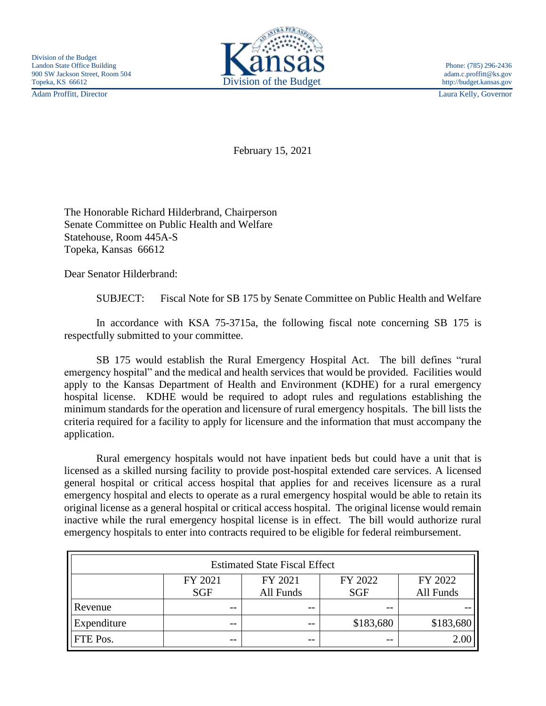Adam Proffitt, Director Laura Kelly, Governor



February 15, 2021

The Honorable Richard Hilderbrand, Chairperson Senate Committee on Public Health and Welfare Statehouse, Room 445A-S Topeka, Kansas 66612

Dear Senator Hilderbrand:

SUBJECT: Fiscal Note for SB 175 by Senate Committee on Public Health and Welfare

In accordance with KSA 75-3715a, the following fiscal note concerning SB 175 is respectfully submitted to your committee.

SB 175 would establish the Rural Emergency Hospital Act. The bill defines "rural emergency hospital" and the medical and health services that would be provided. Facilities would apply to the Kansas Department of Health and Environment (KDHE) for a rural emergency hospital license. KDHE would be required to adopt rules and regulations establishing the minimum standards for the operation and licensure of rural emergency hospitals. The bill lists the criteria required for a facility to apply for licensure and the information that must accompany the application.

Rural emergency hospitals would not have inpatient beds but could have a unit that is licensed as a skilled nursing facility to provide post-hospital extended care services. A licensed general hospital or critical access hospital that applies for and receives licensure as a rural emergency hospital and elects to operate as a rural emergency hospital would be able to retain its original license as a general hospital or critical access hospital. The original license would remain inactive while the rural emergency hospital license is in effect. The bill would authorize rural emergency hospitals to enter into contracts required to be eligible for federal reimbursement.

| <b>Estimated State Fiscal Effect</b> |            |           |            |           |
|--------------------------------------|------------|-----------|------------|-----------|
|                                      | FY 2021    | FY 2021   | FY 2022    | FY 2022   |
|                                      | <b>SGF</b> | All Funds | <b>SGF</b> | All Funds |
| Revenue                              | --         | --        | $- -$      |           |
| Expenditure                          | --         | $ -$      | \$183,680  | \$183,680 |
| <b>FTE</b> Pos.                      | --         | $ -$      | $- -$      | 2.00      |